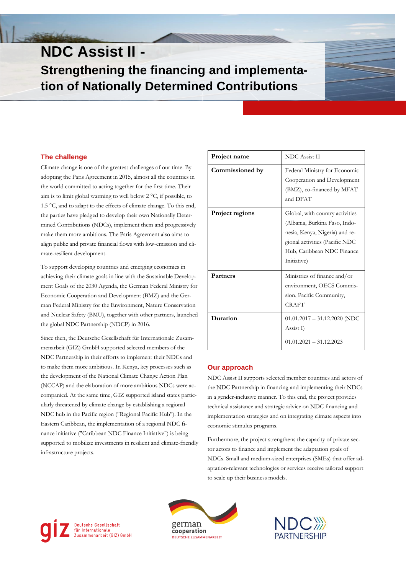# **NDC Assist II - Strengthening the financing and implementation of Nationally Determined Contributions**

# **The challenge**

Climate change is one of the greatest challenges of our time. By adopting the Paris Agreement in 2015, almost all the countries in the world committed to acting together for the first time. Their aim is to limit global warming to well below 2 °C, if possible, to 1.5 °C, and to adapt to the effects of climate change. To this end, the parties have pledged to develop their own Nationally Determined Contributions (NDCs), implement them and progressively make them more ambitious. The Paris Agreement also aims to align public and private financial flows with low-emission and climate-resilient development.

To support developing countries and emerging economies in achieving their climate goals in line with the Sustainable Development Goals of the 2030 Agenda, the German Federal Ministry for Economic Cooperation and Development (BMZ) and the German Federal Ministry for the Environment, Nature Conservation and Nuclear Safety (BMU), together with other partners, launched the global NDC Partnership (NDCP) in 2016.

Since then, the Deutsche Gesellschaft für Internationale Zusammenarbeit (GIZ) GmbH supported selected members of the NDC Partnership in their efforts to implement their NDCs and to make them more ambitious. In Kenya, key processes such as the development of the National Climate Change Action Plan (NCCAP) and the elaboration of more ambitious NDCs were accompanied. At the same time, GIZ supported island states particularly threatened by climate change by establishing a regional NDC hub in the Pacific region ("Regional Pacific Hub"). In the Eastern Caribbean, the implementation of a regional NDC finance initiative ("Caribbean NDC Finance Initiative") is being supported to mobilize investments in resilient and climate-friendly infrastructure projects.

| Project name           | <b>NDC</b> Assist II                                                                                                                                                              |
|------------------------|-----------------------------------------------------------------------------------------------------------------------------------------------------------------------------------|
| Commissioned by        | Federal Ministry for Economic<br>Cooperation and Development<br>(BMZ), co-financed by MFAT<br>and DFAT                                                                            |
| <b>Project regions</b> | Global, with country activities<br>(Albania, Burkina Faso, Indo-<br>nesia, Kenya, Nigeria) and re-<br>gional activities (Pacific NDC<br>Hub, Caribbean NDC Finance<br>Initiative) |
| <b>Partners</b>        | Ministries of finance and/or<br>environment, OECS Commis-<br>sion, Pacific Community,<br><b>CRAFT</b>                                                                             |
| Duration               | $01.01.2017 - 31.12.2020$ (NDC<br>Assist I)<br>$01.01.2021 - 31.12.2023$                                                                                                          |

## **Our approach**

NDC Assist II supports selected member countries and actors of the NDC Partnership in financing and implementing their NDCs in a gender-inclusive manner. To this end, the project provides technical assistance and strategic advice on NDC financing and implementation strategies and on integrating climate aspects into economic stimulus programs.

Furthermore, the project strengthens the capacity of private sector actors to finance and implement the adaptation goals of NDCs. Small and medium-sized enterprises (SMEs) that offer adaptation-relevant technologies or services receive tailored support to scale up their business models.





Deutsche Gesellschaft<br>für Internationale Zusammenarbeit (GIZ) GmbH